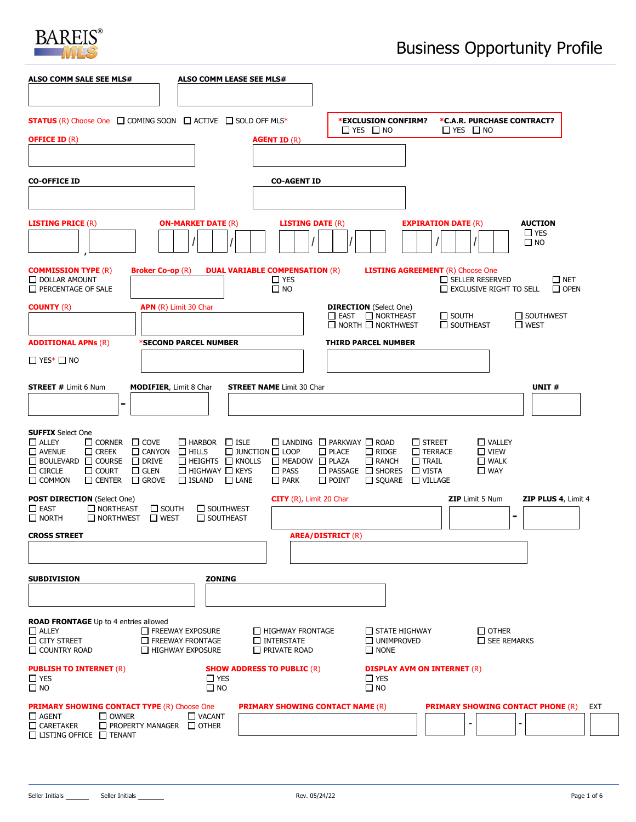

| ALSO COMM SALE SEE MLS#                                                                                                                                                                                                                                                              | <b>ALSO COMM LEASE SEE MLS#</b>                                                                                                                                                                         |                                                                                                                                                                                                                                                                                                                                                     |
|--------------------------------------------------------------------------------------------------------------------------------------------------------------------------------------------------------------------------------------------------------------------------------------|---------------------------------------------------------------------------------------------------------------------------------------------------------------------------------------------------------|-----------------------------------------------------------------------------------------------------------------------------------------------------------------------------------------------------------------------------------------------------------------------------------------------------------------------------------------------------|
|                                                                                                                                                                                                                                                                                      |                                                                                                                                                                                                         |                                                                                                                                                                                                                                                                                                                                                     |
| <b>STATUS</b> (R) Choose One □ COMING SOON □ ACTIVE □ SOLD OFF MLS*                                                                                                                                                                                                                  |                                                                                                                                                                                                         | *EXCLUSION CONFIRM?<br>*C.A.R. PURCHASE CONTRACT?<br>$\Box$ YES $\Box$ NO<br>$\Box$ YES $\Box$ NO                                                                                                                                                                                                                                                   |
| <b>OFFICE ID (R)</b>                                                                                                                                                                                                                                                                 | <b>AGENT ID (R)</b>                                                                                                                                                                                     |                                                                                                                                                                                                                                                                                                                                                     |
|                                                                                                                                                                                                                                                                                      |                                                                                                                                                                                                         |                                                                                                                                                                                                                                                                                                                                                     |
| <b>CO-OFFICE ID</b>                                                                                                                                                                                                                                                                  | <b>CO-AGENT ID</b>                                                                                                                                                                                      |                                                                                                                                                                                                                                                                                                                                                     |
|                                                                                                                                                                                                                                                                                      |                                                                                                                                                                                                         |                                                                                                                                                                                                                                                                                                                                                     |
| <b>LISTING PRICE (R)</b>                                                                                                                                                                                                                                                             | <b>ON-MARKET DATE (R)</b>                                                                                                                                                                               | <b>LISTING DATE (R)</b><br><b>AUCTION</b><br><b>EXPIRATION DATE (R)</b><br>$\Box$ YES                                                                                                                                                                                                                                                               |
|                                                                                                                                                                                                                                                                                      |                                                                                                                                                                                                         | $\square$ NO                                                                                                                                                                                                                                                                                                                                        |
| <b>COMMISSION TYPE (R)</b><br><b>Broker Co-op (R)</b><br>$\Box$ DOLLAR AMOUNT<br>PERCENTAGE OF SALE                                                                                                                                                                                  | <b>DUAL VARIABLE COMPENSATION (R)</b><br>$\Box$ YES<br>$\square$ NO                                                                                                                                     | <b>LISTING AGREEMENT</b> (R) Choose One<br>$\Box$ SELLER RESERVED<br>$\Box$ NET<br>$\Box$ EXCLUSIVE RIGHT TO SELL<br>$\Box$ OPEN                                                                                                                                                                                                                    |
| <b>COUNTY (R)</b>                                                                                                                                                                                                                                                                    | APN (R) Limit 30 Char                                                                                                                                                                                   | <b>DIRECTION</b> (Select One)                                                                                                                                                                                                                                                                                                                       |
|                                                                                                                                                                                                                                                                                      |                                                                                                                                                                                                         | $\Box$ EAST $\Box$ NORTHEAST<br>$\square$ SOUTH<br>$\Box$ SOUTHWEST<br>$\Box$ NORTH $\Box$ NORTHWEST<br>$\Box$ SOUTHEAST<br>$\Box$ WEST                                                                                                                                                                                                             |
| <b>ADDITIONAL APNs (R)</b>                                                                                                                                                                                                                                                           | *SECOND PARCEL NUMBER                                                                                                                                                                                   | <b>THIRD PARCEL NUMBER</b>                                                                                                                                                                                                                                                                                                                          |
| $\Box$ YES* $\Box$ NO                                                                                                                                                                                                                                                                |                                                                                                                                                                                                         |                                                                                                                                                                                                                                                                                                                                                     |
| <b>STREET # Limit 6 Num</b><br><b>MODIFIER, Limit 8 Char</b>                                                                                                                                                                                                                         | <b>STREET NAME</b> Limit 30 Char                                                                                                                                                                        | UNIT#                                                                                                                                                                                                                                                                                                                                               |
| ۰                                                                                                                                                                                                                                                                                    |                                                                                                                                                                                                         |                                                                                                                                                                                                                                                                                                                                                     |
| <b>SUFFIX Select One</b><br>$\Box$ ALLEY<br>$\square$ corner<br>$\Box$ COVE<br>$\square$ AVENUE<br>$\Box$ CREEK<br>$\Box$ CANYON<br>$\Box$ BOULEVARD $\Box$ COURSE $\Box$ DRIVE<br>$\Box$ CIRCLE<br>$\Box$ COURT<br>$\square$ GLEN<br>$\Box$ COMMON<br>$\Box$ CENTER<br>$\Box$ GROVE | $\Box$ ISLE<br>$\Box$ HARBOR<br>$\Box$ HILLS<br>$\Box$ JUNCTION $\Box$ LOOP<br>$\Box$ HEIGHTS $\Box$ KNOLLS<br>$\Box$ HIGHWAY $\Box$ KEYS<br>$\Box$ PASS<br>$\Box$ ISLAND<br>$\Box$ LANE<br>$\Box$ PARK | $\square$ street<br>$\Box$ VALLEY<br>$\Box$ LANDING $\Box$ PARKWAY $\Box$ ROAD<br>$\Box$ PLACE<br>$\Box$ RIDGE<br>$\Box$ TERRACE<br>$\square$ VIEW<br>$\Box$ MEADOW $\Box$ PLAZA<br>$\Box$ RANCH<br>$\Box$ TRAIL<br>$\Box$ WALK<br>$\Box$ PASSAGE $\Box$ SHORES<br>$\Box$ VISTA<br>$\square$ WAY<br>$\Box$ POINT<br>$\Box$ SQUARE<br>$\Box$ VILLAGE |
| <b>POST DIRECTION (Select One)</b>                                                                                                                                                                                                                                                   |                                                                                                                                                                                                         | CITY (R), Limit 20 Char<br><b>ZIP</b> Limit 5 Num<br><b>ZIP PLUS 4, Limit 4</b>                                                                                                                                                                                                                                                                     |
| $\square$ EAST<br>$\Box$ NORTHEAST<br>$\Box$ SOUTH<br>$\Box$ NORTH<br>$\Box$ NORTHWEST<br>$\square$ WEST                                                                                                                                                                             | <b>SOUTHWEST</b><br>SOUTHEAST                                                                                                                                                                           | -                                                                                                                                                                                                                                                                                                                                                   |
| <b>CROSS STREET</b>                                                                                                                                                                                                                                                                  |                                                                                                                                                                                                         | <b>AREA/DISTRICT (R)</b>                                                                                                                                                                                                                                                                                                                            |
|                                                                                                                                                                                                                                                                                      |                                                                                                                                                                                                         |                                                                                                                                                                                                                                                                                                                                                     |
| <b>SUBDIVISION</b>                                                                                                                                                                                                                                                                   | <b>ZONING</b>                                                                                                                                                                                           |                                                                                                                                                                                                                                                                                                                                                     |
|                                                                                                                                                                                                                                                                                      |                                                                                                                                                                                                         |                                                                                                                                                                                                                                                                                                                                                     |
| <b>ROAD FRONTAGE</b> Up to 4 entries allowed<br>$\Box$ ALLEY<br>$\Box$ CITY STREET<br>$\Box$ COUNTRY ROAD                                                                                                                                                                            | $\Box$ FREEWAY EXPOSURE<br>HIGHWAY FRONTAGE<br>$\Box$ FREEWAY FRONTAGE<br>$\Box$ INTERSTATE<br>$\Box$ HIGHWAY EXPOSURE<br>PRIVATE ROAD                                                                  | $\Box$ STATE HIGHWAY<br>$\Box$ OTHER<br>UNIMPROVED<br>$\Box$ SEE REMARKS<br>$\Box$ NONE                                                                                                                                                                                                                                                             |
| <b>PUBLISH TO INTERNET (R)</b><br>$\Box$ YES<br>$\square$ NO                                                                                                                                                                                                                         | <b>SHOW ADDRESS TO PUBLIC (R)</b><br>$\Box$ YES<br>$\square$ NO                                                                                                                                         | <b>DISPLAY AVM ON INTERNET (R)</b><br>$\Box$ YES<br>$\square$ NO                                                                                                                                                                                                                                                                                    |
| <b>PRIMARY SHOWING CONTACT TYPE (R) Choose One</b><br>$\Box$ AGENT<br>$\square$ owner                                                                                                                                                                                                | $\Box$ VACANT                                                                                                                                                                                           | <b>PRIMARY SHOWING CONTACT NAME (R)</b><br><b>PRIMARY SHOWING CONTACT PHONE (R)</b><br>EXT                                                                                                                                                                                                                                                          |
| $\Box$ CARETAKER<br>$\Box$ PROPERTY MANAGER $\Box$ OTHER<br>$\Box$ LISTING OFFICE $\Box$ TENANT                                                                                                                                                                                      |                                                                                                                                                                                                         |                                                                                                                                                                                                                                                                                                                                                     |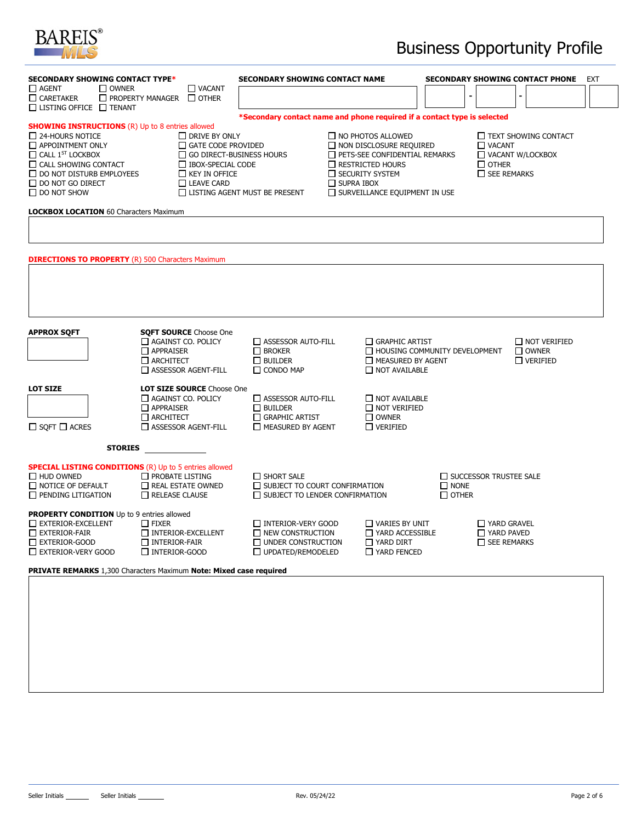

## Business Opportunity Profile

|                                                                                                                                                                                                                                                          | SECONDARY SHOWING CONTACT TYPE*                                                                                        |                                                                                                 | <b>SECONDARY SHOWING CONTACT NAME</b>                                                                                                                                                      | <b>SECONDARY SHOWING CONTACT PHONE</b><br><b>EXT</b>     |                                                                                                    |  |  |
|----------------------------------------------------------------------------------------------------------------------------------------------------------------------------------------------------------------------------------------------------------|------------------------------------------------------------------------------------------------------------------------|-------------------------------------------------------------------------------------------------|--------------------------------------------------------------------------------------------------------------------------------------------------------------------------------------------|----------------------------------------------------------|----------------------------------------------------------------------------------------------------|--|--|
| $\Box$ AGENT<br>$\square$ OWNER<br>$\Box$ CARETAKER                                                                                                                                                                                                      | $\Box$ VACANT<br>$\Box$ PROPERTY MANAGER $\Box$ OTHER<br>$\Box$ LISTING OFFICE $\Box$ TENANT                           |                                                                                                 |                                                                                                                                                                                            |                                                          |                                                                                                    |  |  |
|                                                                                                                                                                                                                                                          |                                                                                                                        |                                                                                                 | *Secondary contact name and phone required if a contact type is selected                                                                                                                   |                                                          |                                                                                                    |  |  |
| <b>SHOWING INSTRUCTIONS (R) Up to 8 entries allowed</b><br>$\Box$ 24-HOURS NOTICE<br>APPOINTMENT ONLY<br>$\Box$ CALL $1^{ST}$ LOCKBOX<br>$\Box$ CALL SHOWING CONTACT<br>$\Box$ DO NOT DISTURB EMPLOYEES<br>$\Box$ DO NOT GO DIRECT<br>$\Box$ DO NOT SHOW | $\Box$ DRIVE BY ONLY<br>GATE CODE PROVIDED<br><b>IBOX-SPECIAL CODE</b><br>$\Box$ KEY IN OFFICE<br>$\Box$ LEAVE CARD    | $\Box$ GO DIRECT-BUSINESS HOURS<br>LISTING AGENT MUST BE PRESENT                                | $\Box$ NO PHOTOS ALLOWED<br>NON DISCLOSURE REQUIRED<br>PETS-SEE CONFIDENTIAL REMARKS<br>$\Box$ RESTRICTED HOURS<br>□ SECURITY SYSTEM<br>$\Box$ SUPRA IBOX<br>SURVEILLANCE EQUIPMENT IN USE |                                                          | TEXT SHOWING CONTACT<br>$\Box$ VACANT<br>VACANT W/LOCKBOX<br>$\Box$ OTHER<br>$\square$ SEE REMARKS |  |  |
| <b>LOCKBOX LOCATION 60 Characters Maximum</b>                                                                                                                                                                                                            |                                                                                                                        |                                                                                                 |                                                                                                                                                                                            |                                                          |                                                                                                    |  |  |
| <b>DIRECTIONS TO PROPERTY (R) 500 Characters Maximum</b><br><b>APPROX SQFT</b>                                                                                                                                                                           | <b>SQFT SOURCE</b> Choose One<br>AGAINST CO. POLICY                                                                    | ASSESSOR AUTO-FILL                                                                              | GRAPHIC ARTIST                                                                                                                                                                             |                                                          | $\Box$ NOT VERIFIED                                                                                |  |  |
|                                                                                                                                                                                                                                                          | $\Box$ APPRAISER<br>$\Box$ ARCHITECT<br>ASSESSOR AGENT-FILL                                                            | $\Box$ BROKER<br>$\Box$ BUILDER<br>$\Box$ CONDO MAP                                             | MEASURED BY AGENT<br>$\Box$ NOT AVAILABLE                                                                                                                                                  | HOUSING COMMUNITY DEVELOPMENT                            | $\Box$ OWNER<br>$\Box$ VERIFIED                                                                    |  |  |
| <b>LOT SIZE</b><br>$\Box$ SQFT $\Box$ ACRES                                                                                                                                                                                                              | <b>LOT SIZE SOURCE Choose One</b><br>AGAINST CO. POLICY<br>$\Box$ APPRAISER<br>$\Box$ ARCHITECT<br>ASSESSOR AGENT-FILL | ASSESSOR AUTO-FILL<br>$\Box$ BUILDER<br>$\Box$ GRAPHIC ARTIST<br>MEASURED BY AGENT              | NOT AVAILABLE<br>$\Box$ NOT VERIFIED<br>$\Box$ OWNER<br>$\Box$ VERIFIED                                                                                                                    |                                                          |                                                                                                    |  |  |
| <b>STORIES</b>                                                                                                                                                                                                                                           |                                                                                                                        |                                                                                                 |                                                                                                                                                                                            |                                                          |                                                                                                    |  |  |
| <b>SPECIAL LISTING CONDITIONS (R) Up to 5 entries allowed</b><br>$\Box$ HUD OWNED<br>NOTICE OF DEFAULT<br>$\Box$ PENDING LITIGATION                                                                                                                      | $\Box$ PROBATE LISTING<br>REAL ESTATE OWNED<br>$\Box$ RELEASE CLAUSE                                                   | $\Box$ SHORT SALE<br>SUBJECT TO COURT CONFIRMATION<br>$\Box$ SUBJECT TO LENDER CONFIRMATION     |                                                                                                                                                                                            | SUCCESSOR TRUSTEE SALE<br>$\square$ NONE<br>$\Box$ OTHER |                                                                                                    |  |  |
| PROPERTY CONDITION Up to 9 entries allowed<br>EXTERIOR-EXCELLENT<br>$\Box$ EXTERIOR-FAIR<br>$\Box$ EXTERIOR-GOOD<br>EXTERIOR-VERY GOOD                                                                                                                   | $\Box$ FIXER<br>INTERIOR-EXCELLENT<br>$\Box$ INTERIOR-FAIR<br>INTERIOR-GOOD                                            | INTERIOR-VERY GOOD<br>$\Box$ NEW CONSTRUCTION<br>$\Box$ UNDER CONSTRUCTION<br>UPDATED/REMODELED | $\Box$ VARIES BY UNIT<br>T YARD ACCESSIBLE<br>YARD DIRT<br>YARD FENCED                                                                                                                     |                                                          | $\Box$ YARD GRAVEL<br>$\Box$ YARD PAVED<br>$\Box$ SEE REMARKS                                      |  |  |
| PRIVATE REMARKS 1,300 Characters Maximum Note: Mixed case required                                                                                                                                                                                       |                                                                                                                        |                                                                                                 |                                                                                                                                                                                            |                                                          |                                                                                                    |  |  |
|                                                                                                                                                                                                                                                          |                                                                                                                        |                                                                                                 |                                                                                                                                                                                            |                                                          |                                                                                                    |  |  |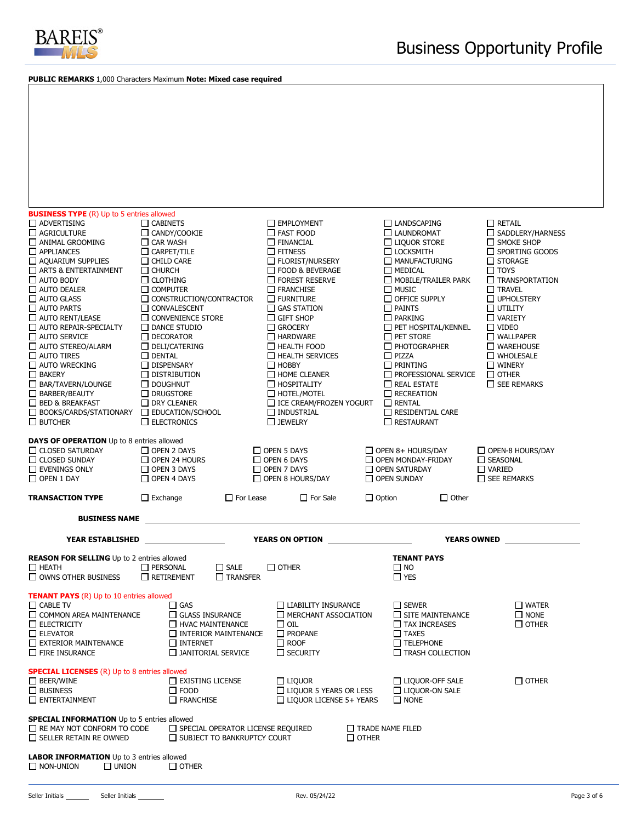

**PUBLIC REMARKS** 1,000 Characters Maximum **Note: Mixed case required**

| <b>BUSINESS TYPE</b> (R) Up to 5 entries allowed                                                                                         |                                                                                 |                                                                                           |                                                                                |                                                                            |  |  |  |  |  |
|------------------------------------------------------------------------------------------------------------------------------------------|---------------------------------------------------------------------------------|-------------------------------------------------------------------------------------------|--------------------------------------------------------------------------------|----------------------------------------------------------------------------|--|--|--|--|--|
| ADVERTISING                                                                                                                              | $\Box$ CABINETS                                                                 | <b>EMPLOYMENT</b>                                                                         | $\Box$ LANDSCAPING                                                             | $\Box$ RETAIL                                                              |  |  |  |  |  |
| $\Box$ AGRICULTURE                                                                                                                       | $\Box$ CANDY/COOKIE                                                             | $\Box$ FAST FOOD                                                                          | LAUNDROMAT                                                                     | SADDLERY/HARNESS                                                           |  |  |  |  |  |
| $\Box$ ANIMAL GROOMING                                                                                                                   | $\Box$ CAR WASH                                                                 | $\Box$ FINANCIAL                                                                          | $\Box$ LIQUOR STORE                                                            | $\Box$ SMOKE SHOP                                                          |  |  |  |  |  |
| $\Box$ APPLIANCES<br>$\Box$ AQUARIUM SUPPLIES                                                                                            | $\Box$ CARPET/TILE<br>$\Box$ Child Care                                         | $\Box$ FITNESS<br>$\Box$ FLORIST/NURSERY                                                  | $\Box$ LOCKSMITH<br>MANUFACTURING                                              | $\Box$ Sporting goods<br>$\Box$ STORAGE                                    |  |  |  |  |  |
| $\Box$ ARTS & ENTERTAINMENT                                                                                                              | $\Box$ Church                                                                   | □ FOOD & BEVERAGE                                                                         | $\Box$ MEDICAL                                                                 | $\Box$ toys                                                                |  |  |  |  |  |
| $\Box$ AUTO BODY                                                                                                                         | $\Box$ CLOTHING                                                                 | $\Box$ FOREST RESERVE                                                                     | $\Box$ MOBILE/TRAILER PARK                                                     | $\Box$ TRANSPORTATION                                                      |  |  |  |  |  |
| $\Box$ AUTO DEALER                                                                                                                       | $\Box$ COMPUTER                                                                 | $\Box$ FRANCHISE                                                                          | $\Box$ MUSIC                                                                   | $\Box$ TRAVEL                                                              |  |  |  |  |  |
| $\Box$ AUTO GLASS                                                                                                                        | $\Box$ CONSTRUCTION/CONTRACTOR                                                  | $\Box$ FURNITURE                                                                          | $\Box$ OFFICE SUPPLY                                                           | UPHOLSTERY                                                                 |  |  |  |  |  |
| $\Box$ AUTO PARTS                                                                                                                        | CONVALESCENT                                                                    | $\Box$ GAS STATION                                                                        | $\Box$ PAINTS                                                                  | $\sqcup$ utility                                                           |  |  |  |  |  |
| $\Box$ AUTO RENT/LEASE                                                                                                                   | $\Box$ CONVENIENCE STORE                                                        | $\Box$ GIFT SHOP                                                                          | $\Box$ PARKING                                                                 | $\Box$ VARIETY                                                             |  |  |  |  |  |
| AUTO REPAIR-SPECIALTY                                                                                                                    | $\Box$ DANCE STUDIO                                                             | $\Box$ GROCERY                                                                            | PET HOSPITAL/KENNEL                                                            | $\Box$ video                                                               |  |  |  |  |  |
| $\Box$ AUTO SERVICE<br>$\Box$ AUTO STEREO/ALARM                                                                                          | $\Box$ DECORATOR<br>$\Box$ DELI/CATERING                                        | $\Box$ HARDWARE<br>$\Box$ HEALTH FOOD                                                     | $\Box$ PET STORE<br>$\Box$ PHOTOGRAPHER                                        | $\Box$ WALLPAPER<br>$\Box$ WAREHOUSE                                       |  |  |  |  |  |
| $\Box$ AUTO TIRES                                                                                                                        | $\Box$ DENTAL                                                                   | $\Box$ HEALTH SERVICES                                                                    | $\Box$ PIZZA                                                                   | $\Box$ WHOLESALE                                                           |  |  |  |  |  |
| AUTO WRECKING                                                                                                                            | $\Box$ DISPENSARY                                                               | $\Box$ HOBBY                                                                              | $\Box$ PRINTING                                                                | $\Box$ WINERY                                                              |  |  |  |  |  |
| $\Box$ BAKERY                                                                                                                            | $\Box$ distribution                                                             | $\Box$ HOME CLEANER                                                                       | $\Box$ PROFESSIONAL SERVICE                                                    | $\Box$ OTHER                                                               |  |  |  |  |  |
| $\Box$ BAR/TAVERN/LOUNGE                                                                                                                 | $\Box$ DOUGHNUT                                                                 | $\Box$ HOSPITALITY                                                                        | $\Box$ REAL ESTATE                                                             | $\Box$ SEE REMARKS                                                         |  |  |  |  |  |
| <b>BARBER/BEAUTY</b>                                                                                                                     | $\Box$ DRUGSTORE                                                                | $\Box$ HOTEL/MOTEL                                                                        | $\Box$ RECREATION                                                              |                                                                            |  |  |  |  |  |
| □ BED & BREAKFAST<br><b>BOOKS/CARDS/STATIONARY</b>                                                                                       | $\Box$ DRY CLEANER<br>$\Box$ EDUCATION/SCHOOL                                   | □ ICE CREAM/FROZEN YOGURT<br>$\Box$ INDUSTRIAL                                            | $\Box$ RENTAL<br>$\Box$ RESIDENTIAL CARE                                       |                                                                            |  |  |  |  |  |
| $\Box$ BUTCHER                                                                                                                           | $\Box$ ELECTRONICS                                                              | $\square$ JEWELRY                                                                         | $\Box$ RESTAURANT                                                              |                                                                            |  |  |  |  |  |
|                                                                                                                                          |                                                                                 |                                                                                           |                                                                                |                                                                            |  |  |  |  |  |
| <b>DAYS OF OPERATION</b> Up to 8 entries allowed<br>CLOSED SATURDAY<br>$\Box$ CLOSED SUNDAY<br>$\Box$ EVENINGS ONLY<br>$\Box$ OPEN 1 DAY | OPEN 2 DAYS<br>$\Box$ OPEN 24 HOURS<br>$\Box$ OPEN 3 DAYS<br>$\Box$ OPEN 4 DAYS | $\Box$ OPEN 5 DAYS<br>$\Box$ OPEN 6 DAYS<br>$\Box$ OPEN 7 DAYS<br>$\Box$ OPEN 8 HOURS/DAY | $\Box$ OPEN 8+ HOURS/DAY<br>OPEN MONDAY-FRIDAY<br>OPEN SATURDAY<br>OPEN SUNDAY | $\Box$ OPEN-8 HOURS/DAY<br>SEASONAL<br>$\Box$ VARIED<br>$\Box$ SEE REMARKS |  |  |  |  |  |
| <b>TRANSACTION TYPE</b>                                                                                                                  | $\Box$ Exchange                                                                 | $\Box$ For Lease<br>$\Box$ For Sale                                                       | $\Box$ Option                                                                  | $\Box$ Other                                                               |  |  |  |  |  |
| <b>BUSINESS NAME</b>                                                                                                                     |                                                                                 |                                                                                           |                                                                                |                                                                            |  |  |  |  |  |
| <b>YEAR ESTABLISHED</b>                                                                                                                  |                                                                                 | <b>YEARS ON OPTION</b>                                                                    |                                                                                | <b>YEARS OWNED</b>                                                         |  |  |  |  |  |
| <b>REASON FOR SELLING</b> Up to 2 entries allowed                                                                                        |                                                                                 |                                                                                           | <b>TENANT PAYS</b>                                                             |                                                                            |  |  |  |  |  |
| $\Box$ HEATH                                                                                                                             | $\Box$ SALE<br>$\Box$ PERSONAL                                                  | $\square$ other                                                                           | $\square$ NO                                                                   |                                                                            |  |  |  |  |  |
| $\Box$ OWNS OTHER BUSINESS                                                                                                               | $\Box$ TRANSFER<br>$\Box$ RETIREMENT                                            |                                                                                           | $\Box$ YES                                                                     |                                                                            |  |  |  |  |  |
|                                                                                                                                          |                                                                                 |                                                                                           |                                                                                |                                                                            |  |  |  |  |  |
| <b>TENANT PAYS</b> (R) Up to 10 entries allowed<br>$\Box$ CABLE TV                                                                       | $\Box$ GAS                                                                      | $\Box$ LIABILITY INSURANCE                                                                | $\Box$ SEWER                                                                   | $\Box$ WATER                                                               |  |  |  |  |  |
| □ COMMON AREA MAINTENANCE                                                                                                                | GLASS INSURANCE                                                                 | MERCHANT ASSOCIATION                                                                      | $\Box$ SITE MAINTENANCE                                                        | $\Box$ NONE                                                                |  |  |  |  |  |
| $\Box$ ELECTRICITY                                                                                                                       | HVAC MAINTENANCE                                                                | $\square$ oil                                                                             | $\Box$ TAX INCREASES                                                           | $\Box$ OTHER                                                               |  |  |  |  |  |
| $\Box$ ELEVATOR                                                                                                                          | INTERIOR MAINTENANCE                                                            | $\Box$ PROPANE                                                                            | $\Box$ TAXES                                                                   |                                                                            |  |  |  |  |  |
| $\Box$ EXTERIOR MAINTENANCE<br>$\Box$ FIRE INSURANCE                                                                                     | $\Box$ INTERNET<br>$\Box$ JANITORIAL SERVICE                                    | $\Box$ ROOF<br>$\Box$ SECURITY                                                            | $\Box$ TELEPHONE<br>$\Box$ TRASH COLLECTION                                    |                                                                            |  |  |  |  |  |
|                                                                                                                                          |                                                                                 |                                                                                           |                                                                                |                                                                            |  |  |  |  |  |
| <b>SPECIAL LICENSES</b> (R) Up to 8 entries allowed                                                                                      |                                                                                 |                                                                                           |                                                                                |                                                                            |  |  |  |  |  |
| $\Box$ BEER/WINE                                                                                                                         | $\Box$ EXISTING LICENSE                                                         | $\Box$ Liquor                                                                             | $\Box$ LIQUOR-OFF SALE                                                         | $\Box$ OTHER                                                               |  |  |  |  |  |
|                                                                                                                                          |                                                                                 |                                                                                           |                                                                                |                                                                            |  |  |  |  |  |
|                                                                                                                                          |                                                                                 |                                                                                           |                                                                                |                                                                            |  |  |  |  |  |
| <b>SPECIAL INFORMATION</b> Up to 5 entries allowed<br>$\Box$ RE MAY NOT CONFORM TO CODE<br>$\Box$ SELLER RETAIN RE OWNED                 | $\Box$ SUBJECT TO BANKRUPTCY COURT                                              | $\Box$ SPECIAL OPERATOR LICENSE REQUIRED                                                  | $\Box$ TRADE NAME FILED<br>$\Box$ OTHER                                        |                                                                            |  |  |  |  |  |
|                                                                                                                                          |                                                                                 |                                                                                           |                                                                                |                                                                            |  |  |  |  |  |
| <b>LABOR INFORMATION</b> Up to 3 entries allowed                                                                                         |                                                                                 |                                                                                           |                                                                                |                                                                            |  |  |  |  |  |
| $\Box$ BUSINESS<br>$\Box$ ENTERTAINMENT                                                                                                  | $\Box$ FOOD<br>$\Box$ FRANCHISE                                                 | $\Box$ LIQUOR 5 YEARS OR LESS<br>$\Box$ LIOUOR LICENSE 5+ YEARS                           | $\Box$ LIQUOR-ON SALE<br>$\Box$ NONE                                           |                                                                            |  |  |  |  |  |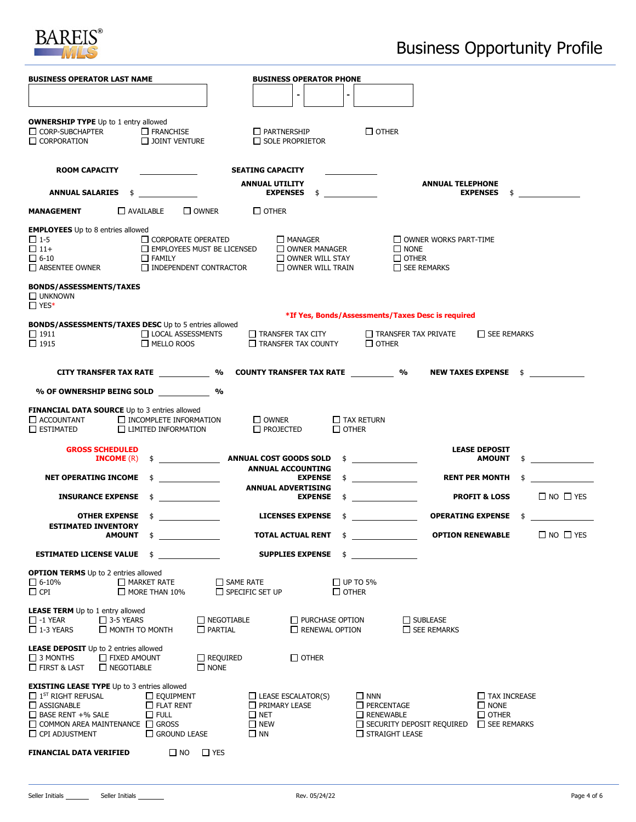

| <b>BUSINESS OPERATOR LAST NAME</b>                                                                                                                                                                             |                                                                            |                                               | <b>BUSINESS OPERATOR PHONE</b>                                                                   |                                                 |                                                                                 |                                                   |                                                                          |                      |
|----------------------------------------------------------------------------------------------------------------------------------------------------------------------------------------------------------------|----------------------------------------------------------------------------|-----------------------------------------------|--------------------------------------------------------------------------------------------------|-------------------------------------------------|---------------------------------------------------------------------------------|---------------------------------------------------|--------------------------------------------------------------------------|----------------------|
|                                                                                                                                                                                                                |                                                                            |                                               |                                                                                                  |                                                 |                                                                                 |                                                   |                                                                          |                      |
| <b>OWNERSHIP TYPE</b> Up to 1 entry allowed                                                                                                                                                                    |                                                                            |                                               |                                                                                                  |                                                 |                                                                                 |                                                   |                                                                          |                      |
| CORP-SUBCHAPTER                                                                                                                                                                                                | $\Box$ FRANCHISE                                                           |                                               | $\Box$ partnership                                                                               |                                                 | $\Box$ OTHER                                                                    |                                                   |                                                                          |                      |
| $\Box$ CORPORATION                                                                                                                                                                                             | $\Box$ JOINT VENTURE                                                       |                                               | $\Box$ SOLE PROPRIETOR                                                                           |                                                 |                                                                                 |                                                   |                                                                          |                      |
| <b>ROOM CAPACITY</b>                                                                                                                                                                                           |                                                                            |                                               | <b>SEATING CAPACITY</b>                                                                          |                                                 |                                                                                 |                                                   |                                                                          |                      |
| <b>ANNUAL SALARIES \$</b>                                                                                                                                                                                      |                                                                            |                                               | <b>ANNUAL UTILITY</b><br><b>EXPENSES</b> \$                                                      |                                                 |                                                                                 | <b>ANNUAL TELEPHONE</b>                           | <b>EXPENSES</b><br>\$                                                    |                      |
| <b>MANAGEMENT</b>                                                                                                                                                                                              | $\Box$ AVAILABLE                                                           | $\square$ OWNER                               | $\Box$ OTHER                                                                                     |                                                 |                                                                                 |                                                   |                                                                          |                      |
| <b>EMPLOYEES</b> Up to 8 entries allowed                                                                                                                                                                       |                                                                            |                                               |                                                                                                  |                                                 |                                                                                 |                                                   |                                                                          |                      |
| $\Box$ 1-5                                                                                                                                                                                                     |                                                                            | $\Box$ CORPORATE OPERATED                     | $\Box$ MANAGER                                                                                   |                                                 |                                                                                 | $\Box$ OWNER WORKS PART-TIME                      |                                                                          |                      |
| $\Box$ 11+<br>$\Box$ 6-10                                                                                                                                                                                      | $\Box$ Family                                                              | $\Box$ EMPLOYEES MUST BE LICENSED             |                                                                                                  | OWNER MANAGER<br>OWNER WILL STAY                | $\Box$ NONE<br>$\Box$ OTHER                                                     |                                                   |                                                                          |                      |
| $\Box$ absentee owner                                                                                                                                                                                          |                                                                            | INDEPENDENT CONTRACTOR                        |                                                                                                  | $\Box$ OWNER WILL TRAIN                         |                                                                                 | $\Box$ SEE REMARKS                                |                                                                          |                      |
| <b>BONDS/ASSESSMENTS/TAXES</b><br>$\Box$ UNKNOWN<br>$\Box$ YES*                                                                                                                                                |                                                                            |                                               |                                                                                                  |                                                 |                                                                                 |                                                   |                                                                          |                      |
| <b>BONDS/ASSESSMENTS/TAXES DESC Up to 5 entries allowed</b>                                                                                                                                                    |                                                                            |                                               |                                                                                                  |                                                 |                                                                                 | *If Yes, Bonds/Assessments/Taxes Desc is required |                                                                          |                      |
| $\Box$ 1911<br>$\Box$ 1915                                                                                                                                                                                     | <b>LOCAL ASSESSMENTS</b><br>$\Box$ MELLO ROOS                              |                                               | $\Box$ Transfer tax city<br>$\Box$ TRANSFER TAX COUNTY                                           |                                                 | $\Box$ other                                                                    | $\Box$ TRANSFER TAX PRIVATE                       | $\Box$ SEE REMARKS                                                       |                      |
| CITY TRANSFER TAX RATE ______________ % COUNTY TRANSFER TAX RATE ____________ %                                                                                                                                |                                                                            |                                               |                                                                                                  |                                                 |                                                                                 | <b>NEW TAXES EXPENSE</b>                          |                                                                          | $\frac{1}{2}$        |
| % OF OWNERSHIP BEING SOLD                                                                                                                                                                                      |                                                                            | %                                             |                                                                                                  |                                                 |                                                                                 |                                                   |                                                                          |                      |
|                                                                                                                                                                                                                |                                                                            |                                               |                                                                                                  |                                                 |                                                                                 |                                                   |                                                                          |                      |
| <b>FINANCIAL DATA SOURCE</b> Up to 3 entries allowed<br>$\Box$ ACCOUNTANT $\Box$ INCOMPLETE INFORMATION<br>$\square$ ESTIMATED                                                                                 | $\Box$ LIMITED INFORMATION                                                 |                                               | $\Box$ OWNER<br>$\Box$ PROJECTED                                                                 | $\square$ other                                 | $\Box$ TAX RETURN                                                               |                                                   |                                                                          |                      |
| <b>GROSS SCHEDULED</b><br><b>INCOME</b> $(R)$                                                                                                                                                                  | $\overline{\phantom{a}}$ . The same state $\overline{\phantom{a}}$         |                                               | <b>ANNUAL COST GOODS SOLD</b><br><b>ANNUAL ACCOUNTING</b>                                        | \$                                              |                                                                                 |                                                   | <b>LEASE DEPOSIT</b><br><b>AMOUNT</b>                                    |                      |
| <b>NET OPERATING INCOME</b>                                                                                                                                                                                    |                                                                            |                                               |                                                                                                  | <b>EXPENSE</b>                                  | $\updownarrow$                                                                  |                                                   | <b>RENT PER MONTH</b>                                                    |                      |
| <b>INSURANCE EXPENSE</b>                                                                                                                                                                                       | \$                                                                         |                                               | <b>ANNUAL ADVERTISING</b>                                                                        | <b>EXPENSE</b><br>\$                            |                                                                                 |                                                   | <b>PROFIT &amp; LOSS</b>                                                 | $\Box$ NO $\Box$ YES |
| <b>OTHER EXPENSE</b>                                                                                                                                                                                           |                                                                            |                                               | <b>LICENSES EXPENSE</b>                                                                          |                                                 |                                                                                 |                                                   | <b>OPERATING EXPENSE \$</b>                                              |                      |
| <b>ESTIMATED INVENTORY</b><br><b>AMOUNT</b>                                                                                                                                                                    | \$                                                                         |                                               | <b>TOTAL ACTUAL RENT</b>                                                                         | \$                                              |                                                                                 |                                                   | <b>OPTION RENEWABLE</b>                                                  | $\Box$ NO $\Box$ YES |
| <b>ESTIMATED LICENSE VALUE \$</b>                                                                                                                                                                              |                                                                            |                                               | <b>SUPPLIES EXPENSE</b>                                                                          |                                                 |                                                                                 |                                                   |                                                                          |                      |
| <b>OPTION TERMS</b> Up to 2 entries allowed<br>$\square$ 6-10%<br>$\Box$ CPI                                                                                                                                   | $\Box$ MARKET RATE<br>$\Box$ MORE THAN 10%                                 | $\square$ SAME RATE<br>$\Box$ SPECIFIC SET UP |                                                                                                  | $\Box$ OTHER                                    | $\Box$ UP TO 5%                                                                 |                                                   |                                                                          |                      |
| <b>LEASE TERM</b> Up to 1 entry allowed<br>$\Box$ 3-5 YEARS<br>$\Box$ -1 YEAR<br>$\Box$ 1-3 YEARS                                                                                                              | $\Box$ MONTH TO MONTH                                                      | $\Box$ NEGOTIABLE<br>$\Box$ PARTIAL           |                                                                                                  | $\Box$ PURCHASE OPTION<br>$\Box$ RENEWAL OPTION |                                                                                 | $\Box$ SUBLEASE<br>$\Box$ SEE REMARKS             |                                                                          |                      |
| <b>LEASE DEPOSIT</b> Up to 2 entries allowed<br>$\square$ 3 MONTHS<br>$\Box$ FIRST & LAST<br>NEGOTIABLE                                                                                                        | <b>T</b> FIXED AMOUNT                                                      | $\Box$ REQUIRED<br>$\Box$ NONE                |                                                                                                  | $\square$ other                                 |                                                                                 |                                                   |                                                                          |                      |
| <b>EXISTING LEASE TYPE</b> Up to 3 entries allowed<br>$\Box$ 1 <sup>ST</sup> RIGHT REFUSAL<br>$\Box$ ASSIGNABLE<br>$\Box$ BASE RENT +% SALE<br>$\Box$ COMMON AREA MAINTENANCE $\Box$ GROSS<br>O CPI ADJUSTMENT | $\Box$ EQUIPMENT<br>$\Box$ FLAT RENT<br>$\Box$ Full<br>$\Box$ GROUND LEASE |                                               | $\Box$ LEASE ESCALATOR(S)<br>$\Box$ PRIMARY LEASE<br>$\Box$ NET<br>$\square$ NEW<br>$\square$ NN |                                                 | $\square$ NNN<br>$\Box$ PERCENTAGE<br>$\Box$ RENEWABLE<br>$\Box$ STRAIGHT LEASE | $\Box$ SECURITY DEPOSIT REQUIRED                  | $\Box$ TAX INCREASE<br>$\Box$ NONE<br>$\Box$ OTHER<br>$\Box$ SEE REMARKS |                      |
| <b>FINANCIAL DATA VERIFIED</b>                                                                                                                                                                                 | $\square$ NO                                                               | $\Box$ YES                                    |                                                                                                  |                                                 |                                                                                 |                                                   |                                                                          |                      |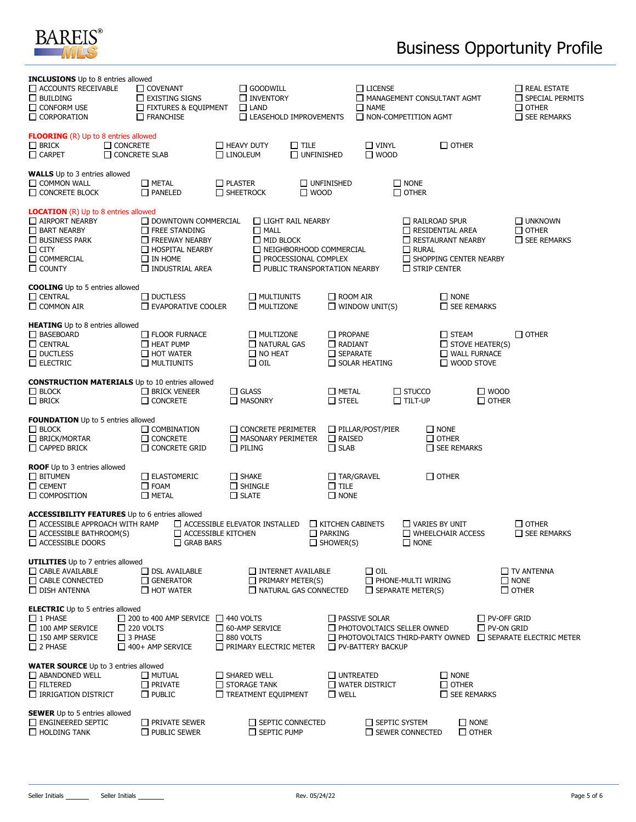

## Business Opportunity Profile

| <b>INCLUSIONS</b> Up to 8 entries allowed                  |                                                 |                  |                                              |                                     |                         |                         |                                        |                                         |                                    |
|------------------------------------------------------------|-------------------------------------------------|------------------|----------------------------------------------|-------------------------------------|-------------------------|-------------------------|----------------------------------------|-----------------------------------------|------------------------------------|
| $\Box$ ACCOUNTS RECEIVABLE                                 | $\Box$ COVENANT                                 |                  | $\Box$ GOODWILL                              |                                     |                         | $\Box$ LICENSE          |                                        |                                         | $\Box$ REAL ESTATE                 |
| $\Box$ BUILDING<br>$\Box$ CONFORM USE                      | $\Box$ EXISTING SIGNS                           |                  | □ INVENTORY                                  |                                     |                         |                         | MANAGEMENT CONSULTANT AGMT             |                                         | SPECIAL PERMITS                    |
| $\Box$ CORPORATION                                         | $\Box$ FIXTURES & EQUIPMENT<br>$\Box$ FRANCHISE |                  | $\Box$ LAND<br>$\Box$ LEASEHOLD IMPROVEMENTS |                                     |                         | $\square$ NAME          | NON-COMPETITION AGMT                   |                                         | $\Box$ OTHER<br>$\Box$ SEE REMARKS |
|                                                            |                                                 |                  |                                              |                                     |                         |                         |                                        |                                         |                                    |
| <b>FLOORING</b> (R) Up to 8 entries allowed                |                                                 |                  |                                              |                                     |                         |                         |                                        |                                         |                                    |
| $\Box$ Brick<br>$\Box$ CONCRETE                            |                                                 |                  | $\Box$ HEAVY DUTY                            | $\square$ tile                      |                         | $\Box$ VINYL            |                                        | $\Box$ OTHER                            |                                    |
| $\Box$ CARPET                                              | $\Box$ CONCRETE SLAB                            | <b>LINOLEUM</b>  |                                              | $\Box$ UNFINISHED                   |                         | $\square$ WOOD          |                                        |                                         |                                    |
|                                                            |                                                 |                  |                                              |                                     |                         |                         |                                        |                                         |                                    |
| <b>WALLS</b> Up to 3 entries allowed<br>$\Box$ COMMON WALL | $\square$ METAL                                 | $\Box$ PLASTER   |                                              |                                     | $\Box$ UNFINISHED       |                         | $\square$ NONE                         |                                         |                                    |
| $\Box$ CONCRETE BLOCK                                      | $\Box$ PANELED                                  | $\Box$ SHEETROCK |                                              | $\Box$ WOOD                         |                         |                         | $\Box$ OTHER                           |                                         |                                    |
|                                                            |                                                 |                  |                                              |                                     |                         |                         |                                        |                                         |                                    |
| <b>LOCATION</b> (R) Up to 8 entries allowed                |                                                 |                  |                                              |                                     |                         |                         |                                        |                                         |                                    |
| $\Box$ AIRPORT NEARBY                                      | <b>DOWNTOWN COMMERCIAL</b>                      |                  |                                              | $\Box$ LIGHT RAIL NEARBY            |                         |                         | $\Box$ RAILROAD SPUR                   |                                         | $\Box$ UNKNOWN                     |
| $\Box$ BART NEARBY                                         | $\Box$ FREE STANDING                            |                  | $\Box$ MALL                                  |                                     |                         |                         | $\Box$ RESIDENTIAL AREA                |                                         | $\Box$ OTHER                       |
| $\Box$ BUSINESS PARK                                       | $\Box$ FREEWAY NEARBY                           |                  | $\Box$ MID BLOCK                             |                                     |                         |                         | RESTAURANT NEARBY                      |                                         | $\Box$ SEE REMARKS                 |
| $\Box$ CITY                                                | HOSPITAL NEARBY                                 |                  |                                              | NEIGHBORHOOD COMMERCIAL             |                         |                         | $\Box$ RURAL                           |                                         |                                    |
| $\Box$ COMMERCIAL                                          | $\Box$ IN HOME                                  |                  |                                              | $\Box$ PROCESSIONAL COMPLEX         |                         |                         |                                        | SHOPPING CENTER NEARBY                  |                                    |
| $\Box$ COUNTY                                              | $\Box$ INDUSTRIAL AREA                          |                  |                                              | $\Box$ PUBLIC TRANSPORTATION NEARBY |                         |                         | $\Box$ STRIP CENTER                    |                                         |                                    |
|                                                            |                                                 |                  |                                              |                                     |                         |                         |                                        |                                         |                                    |
| <b>COOLING</b> Up to 5 entries allowed<br>$\Box$ CENTRAL   | $\Box$ DUCTLESS                                 |                  | $\Box$ MULTIUNITS                            |                                     | $\Box$ ROOM AIR         |                         |                                        | $\Box$ NONE                             |                                    |
| $\Box$ COMMON AIR                                          | $\square$ EVAPORATIVE COOLER                    |                  | $\Box$ MULTIZONE                             |                                     |                         | $\Box$ WINDOW UNIT(S)   |                                        | $\Box$ SEE REMARKS                      |                                    |
|                                                            |                                                 |                  |                                              |                                     |                         |                         |                                        |                                         |                                    |
| <b>HEATING</b> Up to 8 entries allowed                     |                                                 |                  |                                              |                                     |                         |                         |                                        |                                         |                                    |
| □ BASEBOARD                                                | <b>T</b> FLOOR FURNACE                          |                  | $\Box$ MULTIZONE                             |                                     | $\Box$ PROPANE          |                         |                                        | $\square$ STEAM                         | $\Box$ OTHER                       |
| $\Box$ CENTRAL                                             | $\Box$ HEAT PUMP                                |                  | $\Box$ NATURAL GAS                           |                                     | $\Box$ RADIANT          |                         |                                        | $\Box$ STOVE HEATER(S)                  |                                    |
| $\Box$ DUCTLESS                                            | $\Box$ HOT WATER                                |                  | $\square$ NO HEAT                            |                                     | $\Box$ SEPARATE         |                         |                                        | WALL FURNACE                            |                                    |
| $\Box$ ELECTRIC                                            | $\Box$ MULTIUNITS                               |                  | $\Box$ OIL                                   |                                     |                         | $\Box$ SOLAR HEATING    |                                        | $\Box$ WOOD STOVE                       |                                    |
|                                                            |                                                 |                  |                                              |                                     |                         |                         |                                        |                                         |                                    |
| <b>CONSTRUCTION MATERIALS</b> Up to 10 entries allowed     |                                                 |                  |                                              |                                     |                         |                         |                                        |                                         |                                    |
| $\Box$ BLOCK                                               | $\Box$ BRICK VENEER                             |                  | $\Box$ GLASS                                 |                                     | $\square$ METAL         |                         | $\square$ STUCCO                       | $\square$ WOOD                          |                                    |
| $\Box$ Brick                                               | $\Box$ CONCRETE                                 |                  | MASONRY                                      |                                     | $\Box$ steel            |                         | $\Box$ TILT-UP                         | $\square$ other                         |                                    |
| <b>FOUNDATION</b> Up to 5 entries allowed                  |                                                 |                  |                                              |                                     |                         |                         |                                        |                                         |                                    |
| $\Box$ BLOCK                                               | $\Box$ COMBINATION                              |                  | $\Box$ CONCRETE PERIMETER                    |                                     |                         | $\Box$ PILLAR/POST/PIER | $\square$ NONE                         |                                         |                                    |
| $\Box$ BRICK/MORTAR                                        | $\Box$ CONCRETE                                 |                  | $\Box$ MASONARY PERIMETER                    |                                     | $\Box$ RAISED           |                         | $\Box$ OTHER                           |                                         |                                    |
| $\Box$ CAPPED BRICK                                        | $\Box$ CONCRETE GRID                            |                  | $\Box$ PILING                                |                                     | $\Box$ SLAB             |                         |                                        | $\Box$ SEE REMARKS                      |                                    |
|                                                            |                                                 |                  |                                              |                                     |                         |                         |                                        |                                         |                                    |
| <b>ROOF</b> Up to 3 entries allowed                        |                                                 |                  |                                              |                                     |                         |                         |                                        |                                         |                                    |
| $\Box$ BITUMEN                                             | $\Box$ ELASTOMERIC                              |                  | $\Box$ SHAKE                                 |                                     | $\Box$ TAR/GRAVEL       |                         | $\square$ other                        |                                         |                                    |
| $\Box$ CEMENT                                              | $\square$ FOAM                                  |                  | $\Box$ Shingle                               |                                     | $\square$ tile          |                         |                                        |                                         |                                    |
| $\Box$ COMPOSITION                                         | $\square$ METAL                                 |                  | $\Box$ SLATE                                 |                                     | $\Box$ NONE             |                         |                                        |                                         |                                    |
| <b>ACCESSIBILITY FEATURES</b> Up to 6 entries allowed      |                                                 |                  |                                              |                                     |                         |                         |                                        |                                         |                                    |
| $\Box$ ACCESSIBLE APPROACH WITH RAMP                       |                                                 |                  | $\Box$ ACCESSIBLE ELEVATOR INSTALLED         |                                     | $\Box$ KITCHEN CABINETS |                         | $\Box$ VARIES BY UNIT                  |                                         | $\square$ other                    |
| $\Box$ ACCESSIBLE BATHROOM(S)                              | $\Box$ ACCESSIBLE KITCHEN                       |                  |                                              |                                     | $\Box$ PARKING          |                         | $\Box$ WHEELCHAIR ACCESS               |                                         | $\Box$ SEE REMARKS                 |
| $\square$ ACCESSIBLE DOORS                                 | $\Box$ GRAB BARS                                |                  |                                              |                                     | $\Box$ SHOWER(S)        |                         | $\square$ NONE                         |                                         |                                    |
|                                                            |                                                 |                  |                                              |                                     |                         |                         |                                        |                                         |                                    |
| <b>UTILITIES</b> Up to 7 entries allowed                   |                                                 |                  |                                              |                                     |                         |                         |                                        |                                         |                                    |
| $\Box$ CABLE AVAILABLE                                     | $\Box$ DSL AVAILABLE                            |                  |                                              | INTERNET AVAILABLE                  |                         | $\square$ oil           |                                        |                                         | $\Box$ TV ANTENNA                  |
| $\Box$ CABLE CONNECTED                                     | $\Box$ GENERATOR                                |                  |                                              | $\Box$ PRIMARY METER(S)             |                         |                         | PHONE-MULTI WIRING                     |                                         | $\Box$ NONE                        |
| $\Box$ DISH ANTENNA                                        | $\Box$ HOT WATER                                |                  |                                              | NATURAL GAS CONNECTED               |                         |                         | $\Box$ SEPARATE METER(S)               |                                         | $\Box$ OTHER                       |
|                                                            |                                                 |                  |                                              |                                     |                         |                         |                                        |                                         |                                    |
| <b>ELECTRIC</b> Up to 5 entries allowed                    | $\Box$ 200 to 400 AMP SERVICE $\Box$ 440 VOLTS  |                  |                                              |                                     |                         |                         |                                        |                                         |                                    |
| $\Box$ 1 PHASE<br>$\Box$ 100 AMP SERVICE                   | $\square$ 220 VOLTS                             |                  | $\Box$ 60-AMP SERVICE                        |                                     |                         | $\Box$ PASSIVE SOLAR    | $\Box$ PHOTOVOLTAICS SELLER OWNED      | $\Box$ PV-OFF GRID<br>$\Box$ PV-ON GRID |                                    |
| $\Box$ 150 AMP SERVICE                                     | $\square$ 3 PHASE                               | $\Box$ 880 VOLTS |                                              |                                     |                         |                         | $\Box$ PHOTOVOLTAICS THIRD-PARTY OWNED |                                         | $\Box$ SEPARATE ELECTRIC METER     |
| $\Box$ 2 PHASE                                             | $\Box$ 400+ AMP SERVICE                         |                  | $\Box$ PRIMARY ELECTRIC METER                |                                     |                         | PV-BATTERY BACKUP       |                                        |                                         |                                    |
|                                                            |                                                 |                  |                                              |                                     |                         |                         |                                        |                                         |                                    |
| <b>WATER SOURCE</b> Up to 3 entries allowed                |                                                 |                  |                                              |                                     |                         |                         |                                        |                                         |                                    |
| ABANDONED WELL                                             | $\Box$ MUTUAL                                   |                  | $\Box$ SHARED WELL                           |                                     | $\Box$ UNTREATED        |                         |                                        | $\square$ NONE                          |                                    |
| $\Box$ FILTERED                                            | $\Box$ PRIVATE                                  |                  | $\Box$ STORAGE TANK                          |                                     |                         | $\Box$ WATER DISTRICT   |                                        | $\Box$ OTHER                            |                                    |
| $\Box$ IRRIGATION DISTRICT                                 | $\Box$ PUBLIC                                   |                  | $\Box$ TREATMENT EQUIPMENT                   |                                     | $\square$ well          |                         |                                        | $\Box$ SEE REMARKS                      |                                    |
|                                                            |                                                 |                  |                                              |                                     |                         |                         |                                        |                                         |                                    |
| <b>SEWER</b> Up to 5 entries allowed                       |                                                 |                  |                                              |                                     |                         |                         |                                        |                                         |                                    |
| $\Box$ ENGINEERED SEPTIC                                   | $\Box$ PRIVATE SEWER                            |                  |                                              | $\Box$ SEPTIC CONNECTED             |                         |                         | $\Box$ SEPTIC SYSTEM                   | $\Box$ NONE                             |                                    |
| $\Box$ HOLDING TANK                                        | $\Box$ PUBLIC SEWER                             |                  | $\Box$ SEPTIC PUMP                           |                                     |                         |                         | $\Box$ SEWER CONNECTED                 | $\square$ other                         |                                    |